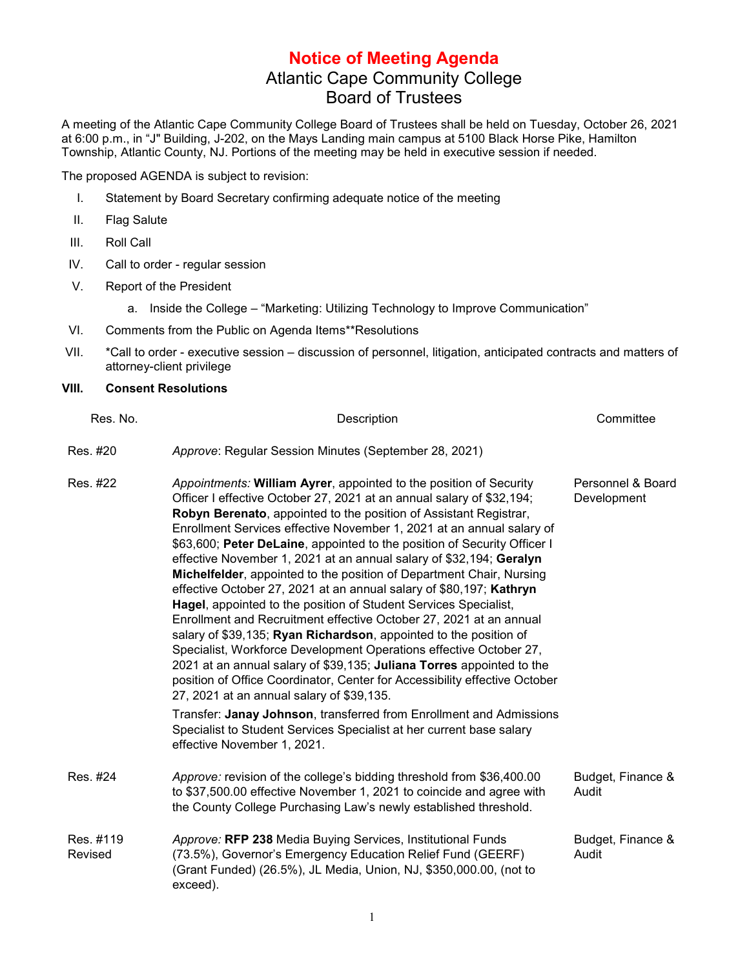## **Notice of Meeting Agenda** Atlantic Cape Community College Board of Trustees

A meeting of the Atlantic Cape Community College Board of Trustees shall be held on Tuesday, October 26, 2021 at 6:00 p.m., in "J" Building, J-202, on the Mays Landing main campus at 5100 Black Horse Pike, Hamilton Township, Atlantic County, NJ. Portions of the meeting may be held in executive session if needed.

The proposed AGENDA is subject to revision:

- I. Statement by Board Secretary confirming adequate notice of the meeting
- II. Flag Salute
- III. Roll Call
- IV. Call to order regular session
- V. Report of the President
	- a. Inside the College "Marketing: Utilizing Technology to Improve Communication"
- VI. Comments from the Public on Agenda Items\*\*Resolutions
- VII. \*Call to order executive session discussion of personnel, litigation, anticipated contracts and matters of attorney-client privilege

## **VIII. Consent Resolutions**

| Res. No.             | Description                                                                                                                                                                                                                                                                                                                                                                                                                                                                                                                                                                                                                                                                                                                                                                                                                                                                                                                                                                                                                                                                          | Committee                        |
|----------------------|--------------------------------------------------------------------------------------------------------------------------------------------------------------------------------------------------------------------------------------------------------------------------------------------------------------------------------------------------------------------------------------------------------------------------------------------------------------------------------------------------------------------------------------------------------------------------------------------------------------------------------------------------------------------------------------------------------------------------------------------------------------------------------------------------------------------------------------------------------------------------------------------------------------------------------------------------------------------------------------------------------------------------------------------------------------------------------------|----------------------------------|
| Res. #20             | Approve: Regular Session Minutes (September 28, 2021)                                                                                                                                                                                                                                                                                                                                                                                                                                                                                                                                                                                                                                                                                                                                                                                                                                                                                                                                                                                                                                |                                  |
| Res. #22             | Appointments: William Ayrer, appointed to the position of Security<br>Officer I effective October 27, 2021 at an annual salary of \$32,194;<br>Robyn Berenato, appointed to the position of Assistant Registrar,<br>Enrollment Services effective November 1, 2021 at an annual salary of<br>\$63,600; Peter DeLaine, appointed to the position of Security Officer I<br>effective November 1, 2021 at an annual salary of \$32,194; Geralyn<br>Michelfelder, appointed to the position of Department Chair, Nursing<br>effective October 27, 2021 at an annual salary of \$80,197; Kathryn<br>Hagel, appointed to the position of Student Services Specialist,<br>Enrollment and Recruitment effective October 27, 2021 at an annual<br>salary of \$39,135; Ryan Richardson, appointed to the position of<br>Specialist, Workforce Development Operations effective October 27,<br>2021 at an annual salary of \$39,135; Juliana Torres appointed to the<br>position of Office Coordinator, Center for Accessibility effective October<br>27, 2021 at an annual salary of \$39,135. | Personnel & Board<br>Development |
|                      | Transfer: Janay Johnson, transferred from Enrollment and Admissions<br>Specialist to Student Services Specialist at her current base salary<br>effective November 1, 2021.                                                                                                                                                                                                                                                                                                                                                                                                                                                                                                                                                                                                                                                                                                                                                                                                                                                                                                           |                                  |
| Res. #24             | Approve: revision of the college's bidding threshold from \$36,400.00<br>to \$37,500.00 effective November 1, 2021 to coincide and agree with<br>the County College Purchasing Law's newly established threshold.                                                                                                                                                                                                                                                                                                                                                                                                                                                                                                                                                                                                                                                                                                                                                                                                                                                                    | Budget, Finance &<br>Audit       |
| Res. #119<br>Revised | Approve: RFP 238 Media Buying Services, Institutional Funds<br>(73.5%), Governor's Emergency Education Relief Fund (GEERF)<br>(Grant Funded) (26.5%), JL Media, Union, NJ, \$350,000.00, (not to<br>exceed).                                                                                                                                                                                                                                                                                                                                                                                                                                                                                                                                                                                                                                                                                                                                                                                                                                                                         | Budget, Finance &<br>Audit       |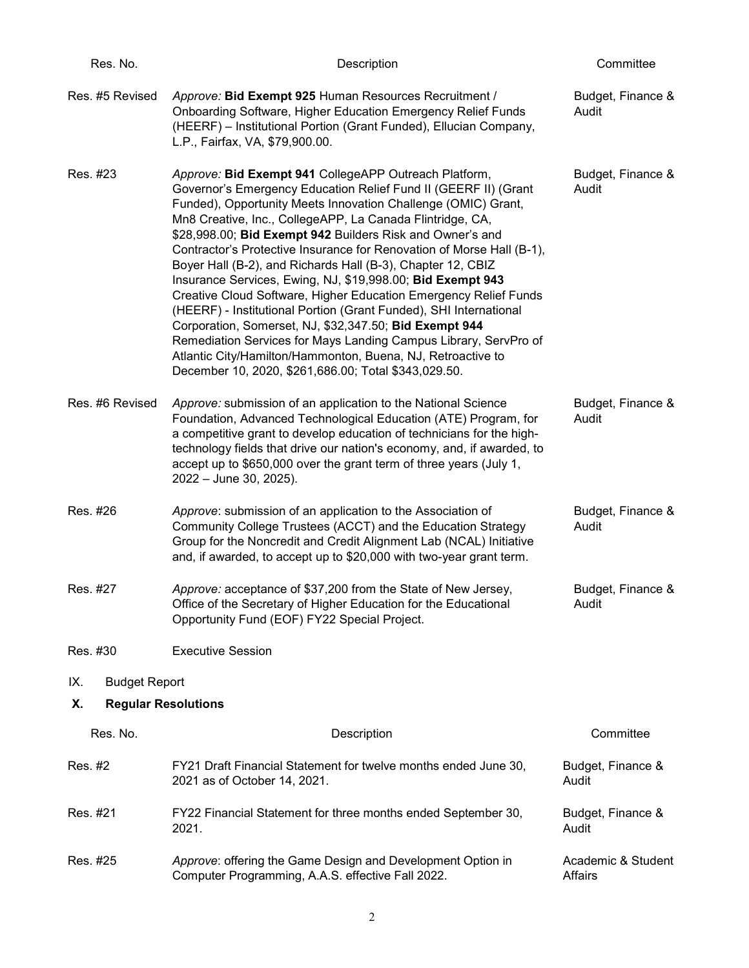| Res. No.                         | Description                                                                                                                                                                                                                                                                                                                                                                                                                                                                                                                                                                                                                                                                                                                                                                                                                                                                                                             | Committee                     |
|----------------------------------|-------------------------------------------------------------------------------------------------------------------------------------------------------------------------------------------------------------------------------------------------------------------------------------------------------------------------------------------------------------------------------------------------------------------------------------------------------------------------------------------------------------------------------------------------------------------------------------------------------------------------------------------------------------------------------------------------------------------------------------------------------------------------------------------------------------------------------------------------------------------------------------------------------------------------|-------------------------------|
| Res. #5 Revised                  | Approve: Bid Exempt 925 Human Resources Recruitment /<br>Onboarding Software, Higher Education Emergency Relief Funds<br>(HEERF) - Institutional Portion (Grant Funded), Ellucian Company,<br>L.P., Fairfax, VA, \$79,900.00.                                                                                                                                                                                                                                                                                                                                                                                                                                                                                                                                                                                                                                                                                           | Budget, Finance &<br>Audit    |
| Res. #23                         | Approve: Bid Exempt 941 CollegeAPP Outreach Platform,<br>Governor's Emergency Education Relief Fund II (GEERF II) (Grant<br>Funded), Opportunity Meets Innovation Challenge (OMIC) Grant,<br>Mn8 Creative, Inc., CollegeAPP, La Canada Flintridge, CA,<br>\$28,998.00; Bid Exempt 942 Builders Risk and Owner's and<br>Contractor's Protective Insurance for Renovation of Morse Hall (B-1),<br>Boyer Hall (B-2), and Richards Hall (B-3), Chapter 12, CBIZ<br>Insurance Services, Ewing, NJ, \$19,998.00; Bid Exempt 943<br>Creative Cloud Software, Higher Education Emergency Relief Funds<br>(HEERF) - Institutional Portion (Grant Funded), SHI International<br>Corporation, Somerset, NJ, \$32,347.50; Bid Exempt 944<br>Remediation Services for Mays Landing Campus Library, ServPro of<br>Atlantic City/Hamilton/Hammonton, Buena, NJ, Retroactive to<br>December 10, 2020, \$261,686.00; Total \$343,029.50. | Budget, Finance &<br>Audit    |
| Res. #6 Revised                  | Approve: submission of an application to the National Science<br>Foundation, Advanced Technological Education (ATE) Program, for<br>a competitive grant to develop education of technicians for the high-<br>technology fields that drive our nation's economy, and, if awarded, to<br>accept up to \$650,000 over the grant term of three years (July 1,<br>2022 - June 30, 2025).                                                                                                                                                                                                                                                                                                                                                                                                                                                                                                                                     | Budget, Finance &<br>Audit    |
| Res. #26                         | Approve: submission of an application to the Association of<br>Community College Trustees (ACCT) and the Education Strategy<br>Group for the Noncredit and Credit Alignment Lab (NCAL) Initiative<br>and, if awarded, to accept up to \$20,000 with two-year grant term.                                                                                                                                                                                                                                                                                                                                                                                                                                                                                                                                                                                                                                                | Budget, Finance &<br>Audit    |
| Res. #27                         | Approve: acceptance of \$37,200 from the State of New Jersey,<br>Office of the Secretary of Higher Education for the Educational<br>Opportunity Fund (EOF) FY22 Special Project.                                                                                                                                                                                                                                                                                                                                                                                                                                                                                                                                                                                                                                                                                                                                        | Budget, Finance &<br>Audit    |
| Res. #30                         | <b>Executive Session</b>                                                                                                                                                                                                                                                                                                                                                                                                                                                                                                                                                                                                                                                                                                                                                                                                                                                                                                |                               |
| <b>Budget Report</b><br>IX.      |                                                                                                                                                                                                                                                                                                                                                                                                                                                                                                                                                                                                                                                                                                                                                                                                                                                                                                                         |                               |
| Χ.<br><b>Regular Resolutions</b> |                                                                                                                                                                                                                                                                                                                                                                                                                                                                                                                                                                                                                                                                                                                                                                                                                                                                                                                         |                               |
| Res. No.                         | Description                                                                                                                                                                                                                                                                                                                                                                                                                                                                                                                                                                                                                                                                                                                                                                                                                                                                                                             | Committee                     |
| Res. #2                          | FY21 Draft Financial Statement for twelve months ended June 30,<br>2021 as of October 14, 2021.                                                                                                                                                                                                                                                                                                                                                                                                                                                                                                                                                                                                                                                                                                                                                                                                                         | Budget, Finance &<br>Audit    |
| Res. #21                         | FY22 Financial Statement for three months ended September 30,<br>2021.                                                                                                                                                                                                                                                                                                                                                                                                                                                                                                                                                                                                                                                                                                                                                                                                                                                  | Budget, Finance &<br>Audit    |
| Res. #25                         | Approve: offering the Game Design and Development Option in<br>Computer Programming, A.A.S. effective Fall 2022.                                                                                                                                                                                                                                                                                                                                                                                                                                                                                                                                                                                                                                                                                                                                                                                                        | Academic & Student<br>Affairs |